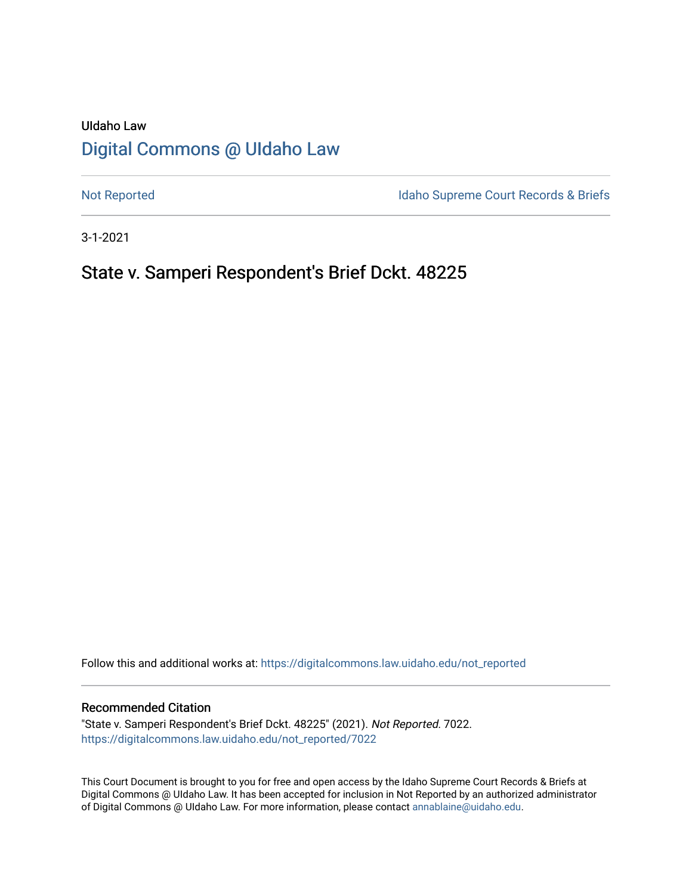# UIdaho Law [Digital Commons @ UIdaho Law](https://digitalcommons.law.uidaho.edu/)

[Not Reported](https://digitalcommons.law.uidaho.edu/not_reported) **Idaho Supreme Court Records & Briefs** 

3-1-2021

# State v. Samperi Respondent's Brief Dckt. 48225

Follow this and additional works at: [https://digitalcommons.law.uidaho.edu/not\\_reported](https://digitalcommons.law.uidaho.edu/not_reported?utm_source=digitalcommons.law.uidaho.edu%2Fnot_reported%2F7022&utm_medium=PDF&utm_campaign=PDFCoverPages) 

#### Recommended Citation

"State v. Samperi Respondent's Brief Dckt. 48225" (2021). Not Reported. 7022. [https://digitalcommons.law.uidaho.edu/not\\_reported/7022](https://digitalcommons.law.uidaho.edu/not_reported/7022?utm_source=digitalcommons.law.uidaho.edu%2Fnot_reported%2F7022&utm_medium=PDF&utm_campaign=PDFCoverPages)

This Court Document is brought to you for free and open access by the Idaho Supreme Court Records & Briefs at Digital Commons @ UIdaho Law. It has been accepted for inclusion in Not Reported by an authorized administrator of Digital Commons @ UIdaho Law. For more information, please contact [annablaine@uidaho.edu](mailto:annablaine@uidaho.edu).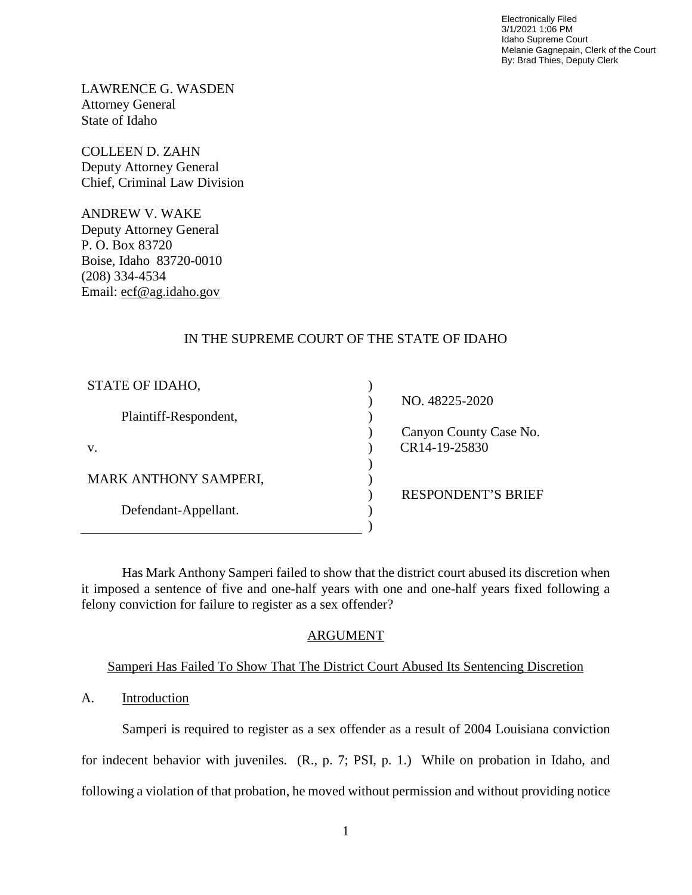Electronically Filed 3/1/2021 1:06 PM Idaho Supreme Court Melanie Gagnepain, Clerk of the Court By: Brad Thies, Deputy Clerk

LAWRENCE G. WASDEN Attorney General State of Idaho

COLLEEN D. ZAHN Deputy Attorney General Chief, Criminal Law Division

ANDREW V. WAKE Deputy Attorney General P. O. Box 83720 Boise, Idaho 83720-0010 (208) 334-4534 Email: ecf@ag.idaho.gov

## IN THE SUPREME COURT OF THE STATE OF IDAHO

| STATE OF IDAHO,              |                           |
|------------------------------|---------------------------|
|                              | NO. 48225-2020            |
| Plaintiff-Respondent,        |                           |
|                              | Canyon County Case No.    |
| V.                           | CR14-19-25830             |
|                              |                           |
| <b>MARK ANTHONY SAMPERI,</b> |                           |
|                              | <b>RESPONDENT'S BRIEF</b> |
| Defendant-Appellant.         |                           |
|                              |                           |

Has Mark Anthony Samperi failed to show that the district court abused its discretion when it imposed a sentence of five and one-half years with one and one-half years fixed following a felony conviction for failure to register as a sex offender?

### ARGUMENT

### Samperi Has Failed To Show That The District Court Abused Its Sentencing Discretion

### A. Introduction

Samperi is required to register as a sex offender as a result of 2004 Louisiana conviction for indecent behavior with juveniles. (R., p. 7; PSI, p. 1.) While on probation in Idaho, and following a violation of that probation, he moved without permission and without providing notice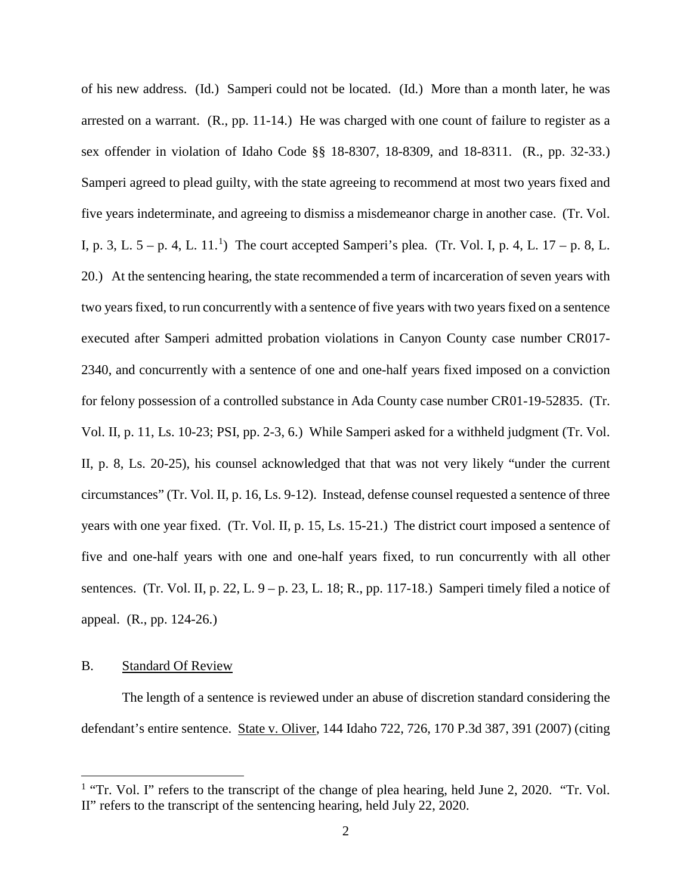of his new address. (Id.) Samperi could not be located. (Id.) More than a month later, he was arrested on a warrant. (R., pp. 11-14.) He was charged with one count of failure to register as a sex offender in violation of Idaho Code §§ 18-8307, 18-8309, and 18-8311. (R., pp. 32-33.) Samperi agreed to plead guilty, with the state agreeing to recommend at most two years fixed and five years indeterminate, and agreeing to dismiss a misdemeanor charge in another case. (Tr. Vol. I, p. 3, L.  $5 - p$ . 4, L.  $11.^1$  $11.^1$ ) The court accepted Samperi's plea. (Tr. Vol. I, p. 4, L.  $17 - p$ . 8, L. 20.) At the sentencing hearing, the state recommended a term of incarceration of seven years with two years fixed, to run concurrently with a sentence of five years with two years fixed on a sentence executed after Samperi admitted probation violations in Canyon County case number CR017- 2340, and concurrently with a sentence of one and one-half years fixed imposed on a conviction for felony possession of a controlled substance in Ada County case number CR01-19-52835. (Tr. Vol. II, p. 11, Ls. 10-23; PSI, pp. 2-3, 6.) While Samperi asked for a withheld judgment (Tr. Vol. II, p. 8, Ls. 20-25), his counsel acknowledged that that was not very likely "under the current circumstances" (Tr. Vol. II, p. 16, Ls. 9-12). Instead, defense counsel requested a sentence of three years with one year fixed. (Tr. Vol. II, p. 15, Ls. 15-21.) The district court imposed a sentence of five and one-half years with one and one-half years fixed, to run concurrently with all other sentences. (Tr. Vol. II, p. 22, L.  $9 - p$ . 23, L. 18; R., pp. 117-18.) Samperi timely filed a notice of appeal. (R., pp. 124-26.)

#### B. Standard Of Review

 $\overline{a}$ 

The length of a sentence is reviewed under an abuse of discretion standard considering the defendant's entire sentence. State v. Oliver, 144 Idaho 722, 726, 170 P.3d 387, 391 (2007) (citing

<span id="page-2-0"></span><sup>&</sup>lt;sup>1</sup> "Tr. Vol. I" refers to the transcript of the change of plea hearing, held June 2, 2020. "Tr. Vol. II" refers to the transcript of the sentencing hearing, held July 22, 2020.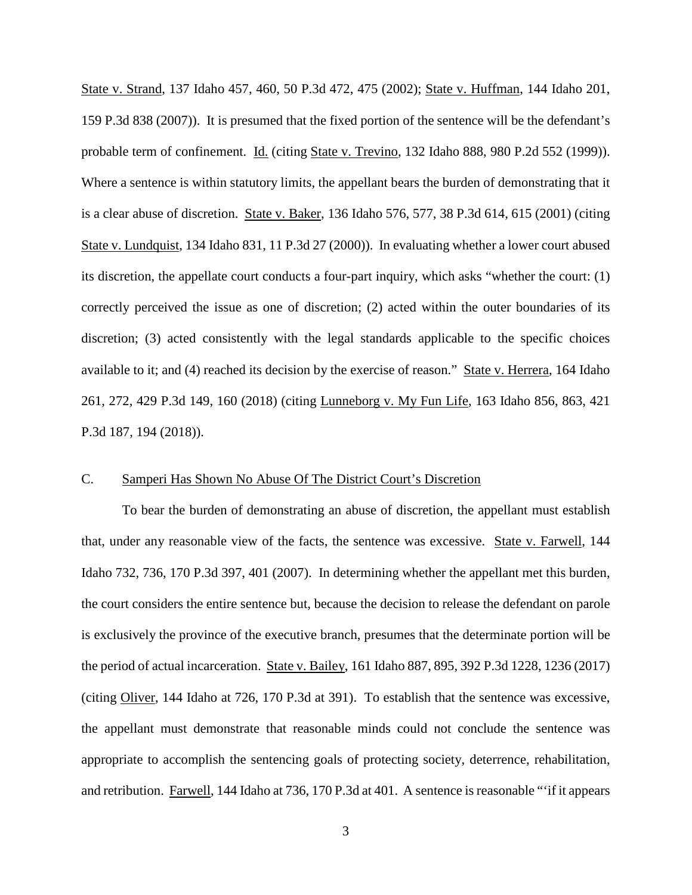State v. Strand, 137 Idaho 457, 460, 50 P.3d 472, 475 (2002); State v. Huffman, 144 Idaho 201, 159 P.3d 838 (2007)). It is presumed that the fixed portion of the sentence will be the defendant's probable term of confinement. Id. (citing State v. Trevino, 132 Idaho 888, 980 P.2d 552 (1999)). Where a sentence is within statutory limits, the appellant bears the burden of demonstrating that it is a clear abuse of discretion. State v. Baker, 136 Idaho 576, 577, 38 P.3d 614, 615 (2001) (citing State v. Lundquist, 134 Idaho 831, 11 P.3d 27 (2000)). In evaluating whether a lower court abused its discretion, the appellate court conducts a four-part inquiry, which asks "whether the court: (1) correctly perceived the issue as one of discretion; (2) acted within the outer boundaries of its discretion; (3) acted consistently with the legal standards applicable to the specific choices available to it; and (4) reached its decision by the exercise of reason." State v. Herrera, 164 Idaho 261, 272, 429 P.3d 149, 160 (2018) (citing Lunneborg v. My Fun Life, 163 Idaho 856, 863, 421 P.3d 187, 194 (2018)).

### C. Samperi Has Shown No Abuse Of The District Court's Discretion

To bear the burden of demonstrating an abuse of discretion, the appellant must establish that, under any reasonable view of the facts, the sentence was excessive. State v. Farwell, 144 Idaho 732, 736, 170 P.3d 397, 401 (2007). In determining whether the appellant met this burden, the court considers the entire sentence but, because the decision to release the defendant on parole is exclusively the province of the executive branch, presumes that the determinate portion will be the period of actual incarceration. State v. Bailey, 161 Idaho 887, 895, 392 P.3d 1228, 1236 (2017) (citing Oliver, 144 Idaho at 726, 170 P.3d at 391). To establish that the sentence was excessive, the appellant must demonstrate that reasonable minds could not conclude the sentence was appropriate to accomplish the sentencing goals of protecting society, deterrence, rehabilitation, and retribution. Farwell, 144 Idaho at 736, 170 P.3d at 401. A sentence is reasonable "'if it appears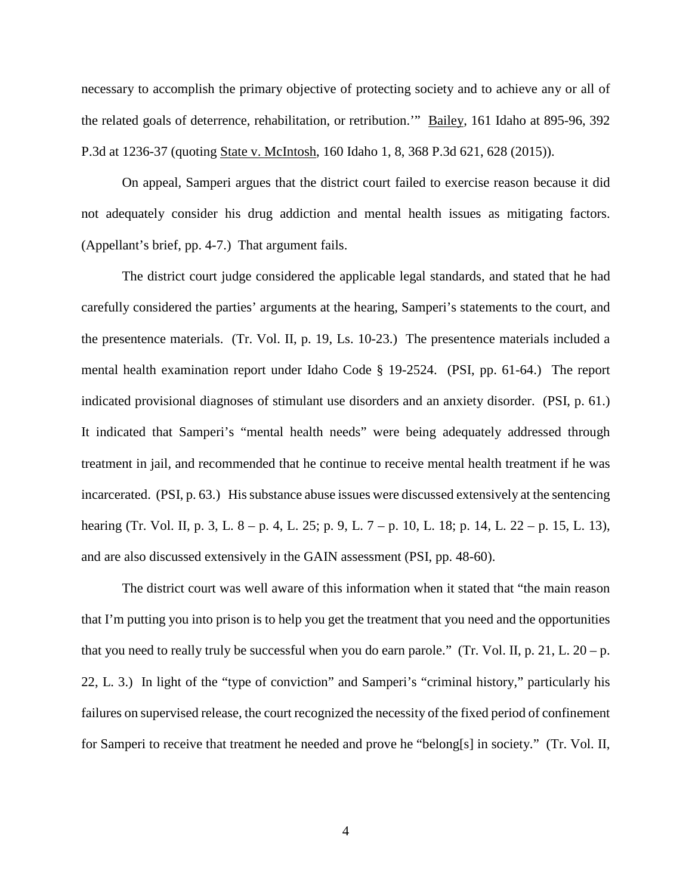necessary to accomplish the primary objective of protecting society and to achieve any or all of the related goals of deterrence, rehabilitation, or retribution.'" Bailey, 161 Idaho at 895-96, 392 P.3d at 1236-37 (quoting State v. McIntosh, 160 Idaho 1, 8, 368 P.3d 621, 628 (2015)).

On appeal, Samperi argues that the district court failed to exercise reason because it did not adequately consider his drug addiction and mental health issues as mitigating factors. (Appellant's brief, pp. 4-7.) That argument fails.

The district court judge considered the applicable legal standards, and stated that he had carefully considered the parties' arguments at the hearing, Samperi's statements to the court, and the presentence materials. (Tr. Vol. II, p. 19, Ls. 10-23.) The presentence materials included a mental health examination report under Idaho Code § 19-2524. (PSI, pp. 61-64.) The report indicated provisional diagnoses of stimulant use disorders and an anxiety disorder. (PSI, p. 61.) It indicated that Samperi's "mental health needs" were being adequately addressed through treatment in jail, and recommended that he continue to receive mental health treatment if he was incarcerated. (PSI, p. 63.) Hissubstance abuse issues were discussed extensively at the sentencing hearing (Tr. Vol. II, p. 3, L. 8 – p. 4, L. 25; p. 9, L. 7 – p. 10, L. 18; p. 14, L. 22 – p. 15, L. 13), and are also discussed extensively in the GAIN assessment (PSI, pp. 48-60).

The district court was well aware of this information when it stated that "the main reason that I'm putting you into prison is to help you get the treatment that you need and the opportunities that you need to really truly be successful when you do earn parole." (Tr. Vol. II, p. 21, L.  $20 - p$ . 22, L. 3.) In light of the "type of conviction" and Samperi's "criminal history," particularly his failures on supervised release, the court recognized the necessity of the fixed period of confinement for Samperi to receive that treatment he needed and prove he "belong[s] in society." (Tr. Vol. II,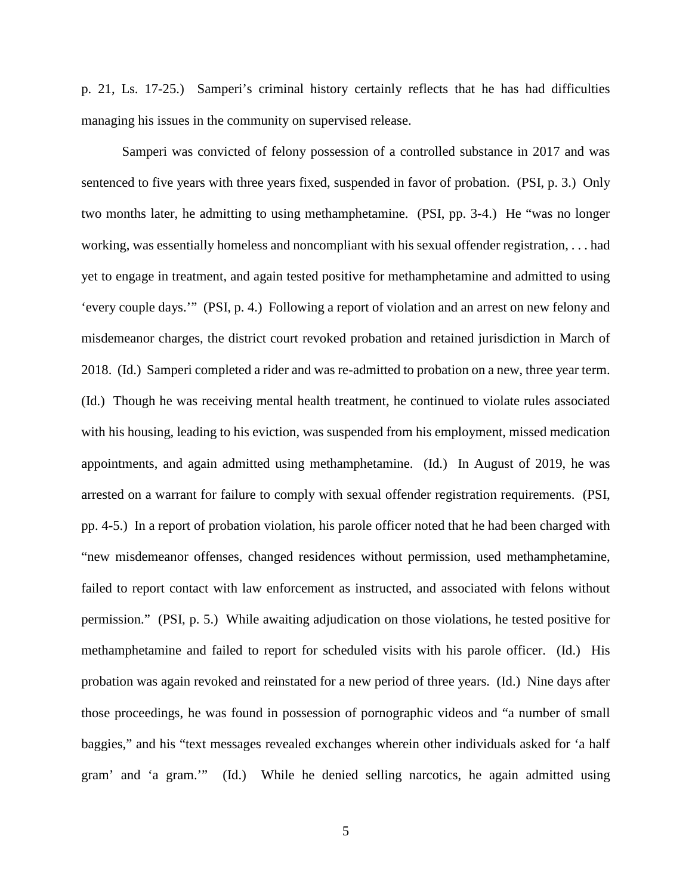p. 21, Ls. 17-25.) Samperi's criminal history certainly reflects that he has had difficulties managing his issues in the community on supervised release.

Samperi was convicted of felony possession of a controlled substance in 2017 and was sentenced to five years with three years fixed, suspended in favor of probation. (PSI, p. 3.) Only two months later, he admitting to using methamphetamine. (PSI, pp. 3-4.) He "was no longer working, was essentially homeless and noncompliant with his sexual offender registration, . . . had yet to engage in treatment, and again tested positive for methamphetamine and admitted to using 'every couple days.'" (PSI, p. 4.) Following a report of violation and an arrest on new felony and misdemeanor charges, the district court revoked probation and retained jurisdiction in March of 2018. (Id.) Samperi completed a rider and was re-admitted to probation on a new, three year term. (Id.) Though he was receiving mental health treatment, he continued to violate rules associated with his housing, leading to his eviction, was suspended from his employment, missed medication appointments, and again admitted using methamphetamine. (Id.) In August of 2019, he was arrested on a warrant for failure to comply with sexual offender registration requirements. (PSI, pp. 4-5.) In a report of probation violation, his parole officer noted that he had been charged with "new misdemeanor offenses, changed residences without permission, used methamphetamine, failed to report contact with law enforcement as instructed, and associated with felons without permission." (PSI, p. 5.) While awaiting adjudication on those violations, he tested positive for methamphetamine and failed to report for scheduled visits with his parole officer. (Id.) His probation was again revoked and reinstated for a new period of three years. (Id.) Nine days after those proceedings, he was found in possession of pornographic videos and "a number of small baggies," and his "text messages revealed exchanges wherein other individuals asked for 'a half gram' and 'a gram.'" (Id.) While he denied selling narcotics, he again admitted using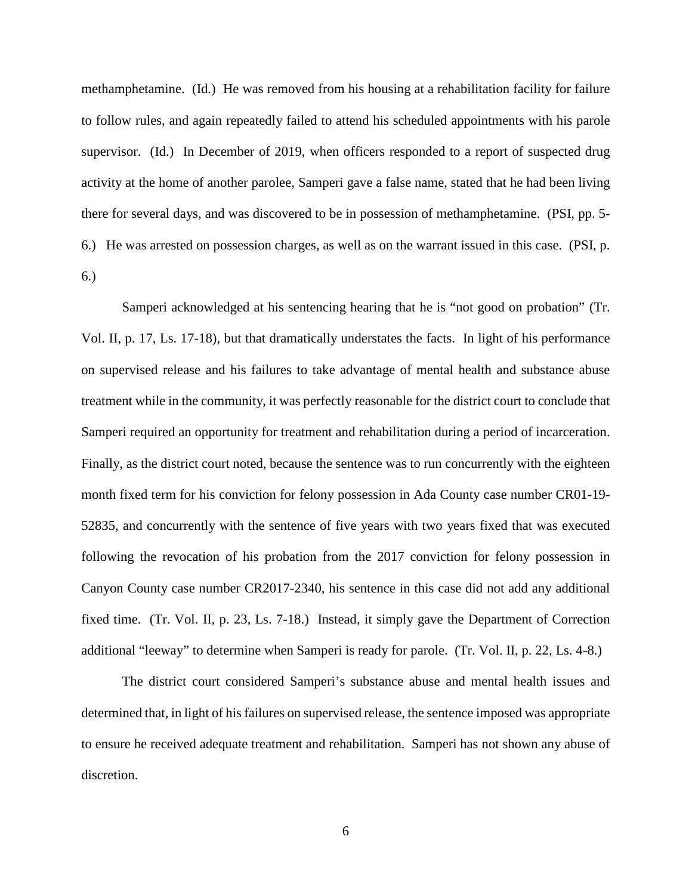methamphetamine. (Id.) He was removed from his housing at a rehabilitation facility for failure to follow rules, and again repeatedly failed to attend his scheduled appointments with his parole supervisor. (Id.) In December of 2019, when officers responded to a report of suspected drug activity at the home of another parolee, Samperi gave a false name, stated that he had been living there for several days, and was discovered to be in possession of methamphetamine. (PSI, pp. 5- 6.) He was arrested on possession charges, as well as on the warrant issued in this case. (PSI, p. 6.)

Samperi acknowledged at his sentencing hearing that he is "not good on probation" (Tr. Vol. II, p. 17, Ls. 17-18), but that dramatically understates the facts. In light of his performance on supervised release and his failures to take advantage of mental health and substance abuse treatment while in the community, it was perfectly reasonable for the district court to conclude that Samperi required an opportunity for treatment and rehabilitation during a period of incarceration. Finally, as the district court noted, because the sentence was to run concurrently with the eighteen month fixed term for his conviction for felony possession in Ada County case number CR01-19- 52835, and concurrently with the sentence of five years with two years fixed that was executed following the revocation of his probation from the 2017 conviction for felony possession in Canyon County case number CR2017-2340, his sentence in this case did not add any additional fixed time. (Tr. Vol. II, p. 23, Ls. 7-18.) Instead, it simply gave the Department of Correction additional "leeway" to determine when Samperi is ready for parole. (Tr. Vol. II, p. 22, Ls. 4-8.)

The district court considered Samperi's substance abuse and mental health issues and determined that, in light of his failures on supervised release, the sentence imposed was appropriate to ensure he received adequate treatment and rehabilitation. Samperi has not shown any abuse of discretion.